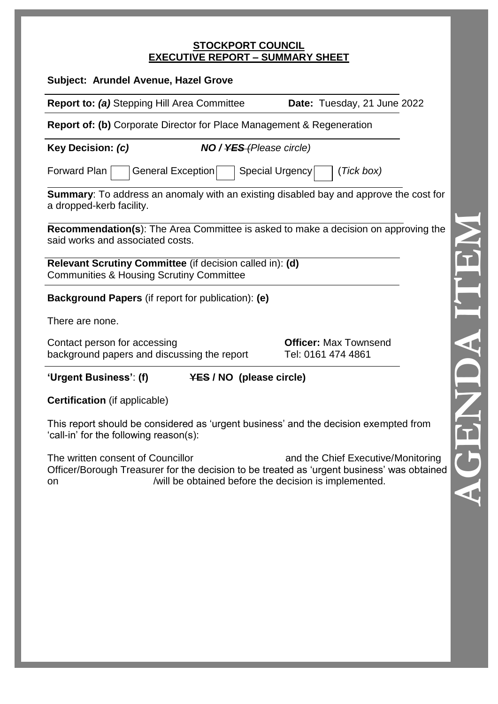#### **STOCKPORT COUNCIL EXECUTIVE REPORT – SUMMARY SHEET**

| Subject: Arundel Avenue, Hazel Grove                                                                                           |                                                    |  |  |
|--------------------------------------------------------------------------------------------------------------------------------|----------------------------------------------------|--|--|
| <b>Report to: (a)</b> Stepping Hill Area Committee                                                                             | Date: Tuesday, 21 June 2022                        |  |  |
| <b>Report of: (b)</b> Corporate Director for Place Management & Regeneration                                                   |                                                    |  |  |
| Key Decision: (c)<br><b>NO / <del>YES</del></b> (Please circle)                                                                |                                                    |  |  |
| Forward Plan<br>General Exception<br>Special Urgency                                                                           | (Tick box)                                         |  |  |
| <b>Summary:</b> To address an anomaly with an existing disabled bay and approve the cost for<br>a dropped-kerb facility.       |                                                    |  |  |
| <b>Recommendation(s):</b> The Area Committee is asked to make a decision on approving the<br>said works and associated costs.  |                                                    |  |  |
| Relevant Scrutiny Committee (if decision called in): (d)<br><b>Communities &amp; Housing Scrutiny Committee</b>                |                                                    |  |  |
| <b>Background Papers</b> (if report for publication): (e)                                                                      |                                                    |  |  |
| There are none.                                                                                                                |                                                    |  |  |
| Contact person for accessing<br>background papers and discussing the report                                                    | <b>Officer: Max Townsend</b><br>Tel: 0161 474 4861 |  |  |
| 'Urgent Business': (f)<br><b>YES / NO (please circle)</b>                                                                      |                                                    |  |  |
| <b>Certification</b> (if applicable)                                                                                           |                                                    |  |  |
| This report should be considered as 'urgent business' and the decision exempted from<br>'call-in' for the following reason(s): |                                                    |  |  |
| The written consent of Councillor                                                                                              | and the Chief Executive/Monitoring                 |  |  |

Officer/Borough Treasurer for the decision to be treated as 'urgent business' was obtained on /will be obtained before the decision is implemented.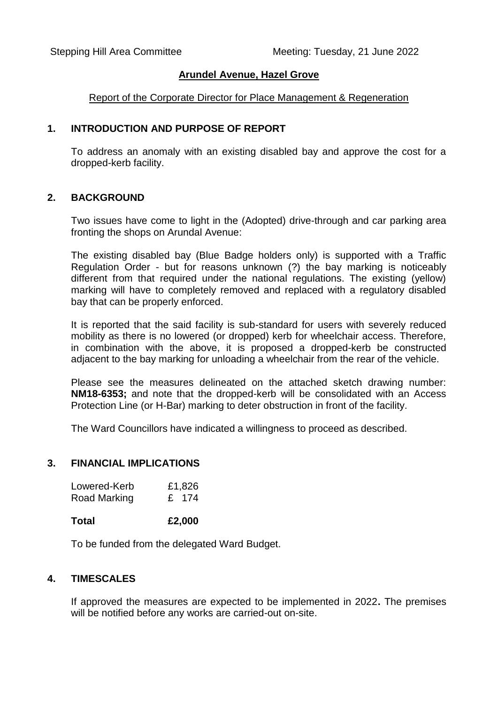### **Arundel Avenue, Hazel Grove**

#### Report of the Corporate Director for Place Management & Regeneration

### **1. INTRODUCTION AND PURPOSE OF REPORT**

To address an anomaly with an existing disabled bay and approve the cost for a dropped-kerb facility.

#### **2. BACKGROUND**

Two issues have come to light in the (Adopted) drive-through and car parking area fronting the shops on Arundal Avenue:

The existing disabled bay (Blue Badge holders only) is supported with a Traffic Regulation Order - but for reasons unknown (?) the bay marking is noticeably different from that required under the national regulations. The existing (yellow) marking will have to completely removed and replaced with a regulatory disabled bay that can be properly enforced.

It is reported that the said facility is sub-standard for users with severely reduced mobility as there is no lowered (or dropped) kerb for wheelchair access. Therefore, in combination with the above, it is proposed a dropped-kerb be constructed adjacent to the bay marking for unloading a wheelchair from the rear of the vehicle.

Please see the measures delineated on the attached sketch drawing number: **NM18-6353;** and note that the dropped-kerb will be consolidated with an Access Protection Line (or H-Bar) marking to deter obstruction in front of the facility.

The Ward Councillors have indicated a willingness to proceed as described.

### **3. FINANCIAL IMPLICATIONS**

| Lowered-Kerb | £1,826 |
|--------------|--------|
| Road Marking | £ 174  |

**Total £2,000** 

To be funded from the delegated Ward Budget.

## **4. TIMESCALES**

If approved the measures are expected to be implemented in 2022**.** The premises will be notified before any works are carried-out on-site.